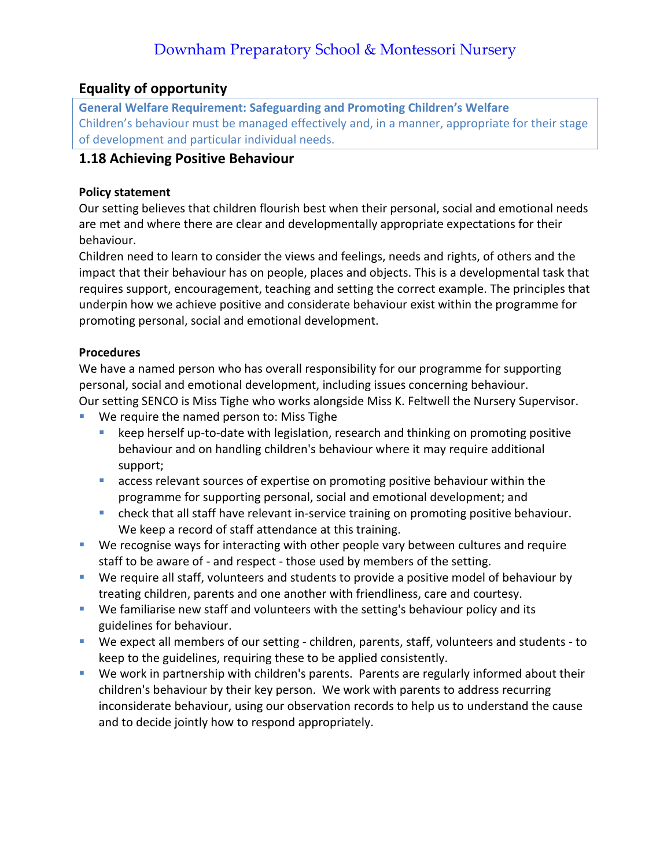## **Equality of opportunity**

**General Welfare Requirement: Safeguarding and Promoting Children's Welfare** Children's behaviour must be managed effectively and, in a manner, appropriate for their stage of development and particular individual needs.

### **1.18 Achieving Positive Behaviour**

### **Policy statement**

Our setting believes that children flourish best when their personal, social and emotional needs are met and where there are clear and developmentally appropriate expectations for their behaviour.

Children need to learn to consider the views and feelings, needs and rights, of others and the impact that their behaviour has on people, places and objects. This is a developmental task that requires support, encouragement, teaching and setting the correct example. The principles that underpin how we achieve positive and considerate behaviour exist within the programme for promoting personal, social and emotional development.

### **Procedures**

We have a named person who has overall responsibility for our programme for supporting personal, social and emotional development, including issues concerning behaviour. Our setting SENCO is Miss Tighe who works alongside Miss K. Feltwell the Nursery Supervisor.

- We require the named person to: Miss Tighe
	- keep herself up-to-date with legislation, research and thinking on promoting positive behaviour and on handling children's behaviour where it may require additional support;
	- **E** access relevant sources of expertise on promoting positive behaviour within the programme for supporting personal, social and emotional development; and
	- **•** check that all staff have relevant in-service training on promoting positive behaviour. We keep a record of staff attendance at this training.
- We recognise ways for interacting with other people vary between cultures and require staff to be aware of - and respect - those used by members of the setting.
- We require all staff, volunteers and students to provide a positive model of behaviour by treating children, parents and one another with friendliness, care and courtesy.
- We familiarise new staff and volunteers with the setting's behaviour policy and its guidelines for behaviour.
- We expect all members of our setting children, parents, staff, volunteers and students to keep to the guidelines, requiring these to be applied consistently.
- We work in partnership with children's parents. Parents are regularly informed about their children's behaviour by their key person. We work with parents to address recurring inconsiderate behaviour, using our observation records to help us to understand the cause and to decide jointly how to respond appropriately.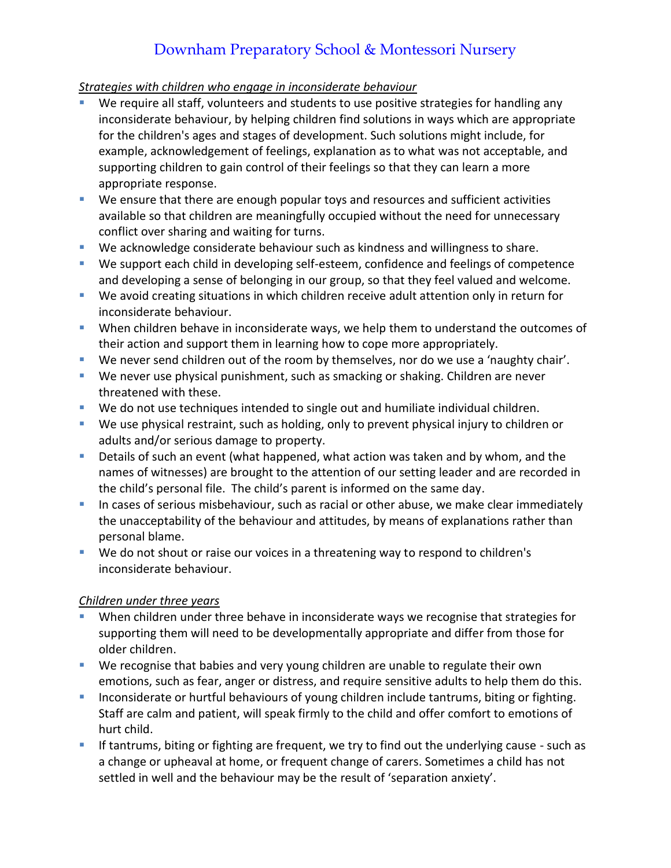### *Strategies with children who engage in inconsiderate behaviour*

- We require all staff, volunteers and students to use positive strategies for handling any inconsiderate behaviour, by helping children find solutions in ways which are appropriate for the children's ages and stages of development. Such solutions might include, for example, acknowledgement of feelings, explanation as to what was not acceptable, and supporting children to gain control of their feelings so that they can learn a more appropriate response.
- We ensure that there are enough popular toys and resources and sufficient activities available so that children are meaningfully occupied without the need for unnecessary conflict over sharing and waiting for turns.
- We acknowledge considerate behaviour such as kindness and willingness to share.
- We support each child in developing self-esteem, confidence and feelings of competence and developing a sense of belonging in our group, so that they feel valued and welcome.
- We avoid creating situations in which children receive adult attention only in return for inconsiderate behaviour.
- **E** When children behave in inconsiderate ways, we help them to understand the outcomes of their action and support them in learning how to cope more appropriately.
- We never send children out of the room by themselves, nor do we use a 'naughty chair'.
- We never use physical punishment, such as smacking or shaking. Children are never threatened with these.
- We do not use techniques intended to single out and humiliate individual children.
- We use physical restraint, such as holding, only to prevent physical injury to children or adults and/or serious damage to property.
- Details of such an event (what happened, what action was taken and by whom, and the names of witnesses) are brought to the attention of our setting leader and are recorded in the child's personal file. The child's parent is informed on the same day.
- **EXTE:** In cases of serious misbehaviour, such as racial or other abuse, we make clear immediately the unacceptability of the behaviour and attitudes, by means of explanations rather than personal blame.
- We do not shout or raise our voices in a threatening way to respond to children's inconsiderate behaviour.

### *Children under three years*

- When children under three behave in inconsiderate ways we recognise that strategies for supporting them will need to be developmentally appropriate and differ from those for older children.
- We recognise that babies and very young children are unable to regulate their own emotions, such as fear, anger or distress, and require sensitive adults to help them do this.
- **EXT** Inconsiderate or hurtful behaviours of young children include tantrums, biting or fighting. Staff are calm and patient, will speak firmly to the child and offer comfort to emotions of hurt child.
- **EXECT** If tantrums, biting or fighting are frequent, we try to find out the underlying cause such as a change or upheaval at home, or frequent change of carers. Sometimes a child has not settled in well and the behaviour may be the result of 'separation anxiety'.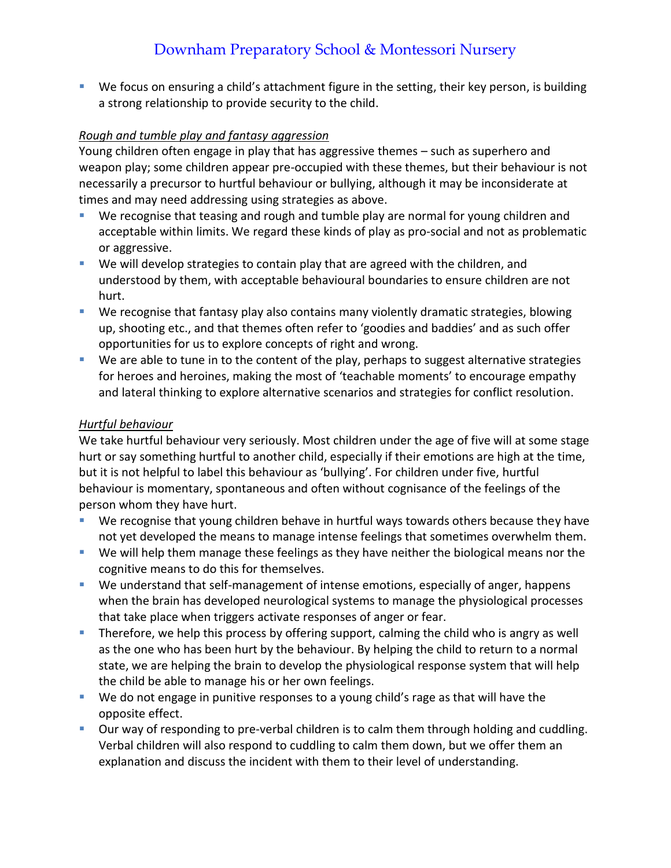■ We focus on ensuring a child's attachment figure in the setting, their key person, is building a strong relationship to provide security to the child.

### *Rough and tumble play and fantasy aggression*

Young children often engage in play that has aggressive themes – such as superhero and weapon play; some children appear pre-occupied with these themes, but their behaviour is not necessarily a precursor to hurtful behaviour or bullying, although it may be inconsiderate at times and may need addressing using strategies as above.

- We recognise that teasing and rough and tumble play are normal for young children and acceptable within limits. We regard these kinds of play as pro-social and not as problematic or aggressive.
- We will develop strategies to contain play that are agreed with the children, and understood by them, with acceptable behavioural boundaries to ensure children are not hurt.
- We recognise that fantasy play also contains many violently dramatic strategies, blowing up, shooting etc., and that themes often refer to 'goodies and baddies' and as such offer opportunities for us to explore concepts of right and wrong.
- We are able to tune in to the content of the play, perhaps to suggest alternative strategies for heroes and heroines, making the most of 'teachable moments' to encourage empathy and lateral thinking to explore alternative scenarios and strategies for conflict resolution.

#### *Hurtful behaviour*

We take hurtful behaviour very seriously. Most children under the age of five will at some stage hurt or say something hurtful to another child, especially if their emotions are high at the time, but it is not helpful to label this behaviour as 'bullying'. For children under five, hurtful behaviour is momentary, spontaneous and often without cognisance of the feelings of the person whom they have hurt.

- We recognise that young children behave in hurtful ways towards others because they have not yet developed the means to manage intense feelings that sometimes overwhelm them.
- We will help them manage these feelings as they have neither the biological means nor the cognitive means to do this for themselves.
- We understand that self-management of intense emotions, especially of anger, happens when the brain has developed neurological systems to manage the physiological processes that take place when triggers activate responses of anger or fear.
- **•** Therefore, we help this process by offering support, calming the child who is angry as well as the one who has been hurt by the behaviour. By helping the child to return to a normal state, we are helping the brain to develop the physiological response system that will help the child be able to manage his or her own feelings.
- We do not engage in punitive responses to a young child's rage as that will have the opposite effect.
- **•** Our way of responding to pre-verbal children is to calm them through holding and cuddling. Verbal children will also respond to cuddling to calm them down, but we offer them an explanation and discuss the incident with them to their level of understanding.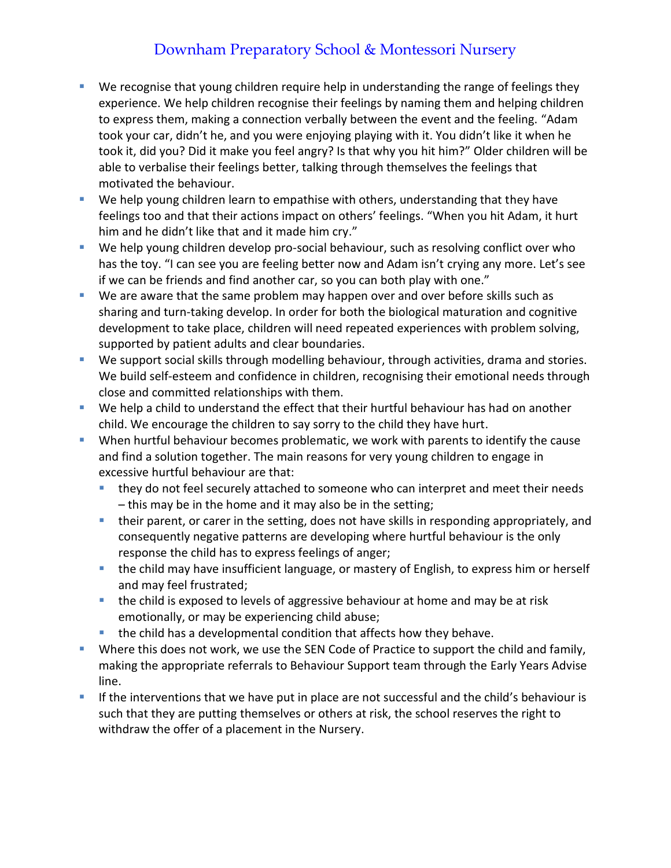- We recognise that young children require help in understanding the range of feelings they experience. We help children recognise their feelings by naming them and helping children to express them, making a connection verbally between the event and the feeling. "Adam took your car, didn't he, and you were enjoying playing with it. You didn't like it when he took it, did you? Did it make you feel angry? Is that why you hit him?" Older children will be able to verbalise their feelings better, talking through themselves the feelings that motivated the behaviour.
- We help young children learn to empathise with others, understanding that they have feelings too and that their actions impact on others' feelings. "When you hit Adam, it hurt him and he didn't like that and it made him cry."
- We help young children develop pro-social behaviour, such as resolving conflict over who has the toy. "I can see you are feeling better now and Adam isn't crying any more. Let's see if we can be friends and find another car, so you can both play with one."
- We are aware that the same problem may happen over and over before skills such as sharing and turn-taking develop. In order for both the biological maturation and cognitive development to take place, children will need repeated experiences with problem solving, supported by patient adults and clear boundaries.
- We support social skills through modelling behaviour, through activities, drama and stories. We build self-esteem and confidence in children, recognising their emotional needs through close and committed relationships with them.
- We help a child to understand the effect that their hurtful behaviour has had on another child. We encourage the children to say sorry to the child they have hurt.
- **E** When hurtful behaviour becomes problematic, we work with parents to identify the cause and find a solution together. The main reasons for very young children to engage in excessive hurtful behaviour are that:
	- they do not feel securely attached to someone who can interpret and meet their needs – this may be in the home and it may also be in the setting;
	- **EXT** their parent, or carer in the setting, does not have skills in responding appropriately, and consequently negative patterns are developing where hurtful behaviour is the only response the child has to express feelings of anger;
	- the child may have insufficient language, or mastery of English, to express him or herself and may feel frustrated;
	- the child is exposed to levels of aggressive behaviour at home and may be at risk emotionally, or may be experiencing child abuse;
	- the child has a developmental condition that affects how they behave.
- **EXTEND THE Where this does not work, we use the SEN Code of Practice to support the child and family,** making the appropriate referrals to Behaviour Support team through the Early Years Advise line.
- **EXT** If the interventions that we have put in place are not successful and the child's behaviour is such that they are putting themselves or others at risk, the school reserves the right to withdraw the offer of a placement in the Nursery.